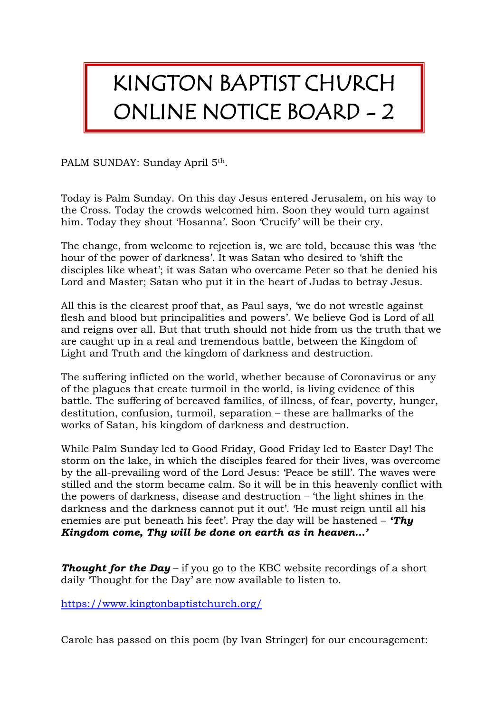## KINGTON BAPTIST CHURCH ONLINE NOTICE BOARD - 2

PALM SUNDAY: Sunday April 5th.

Today is Palm Sunday. On this day Jesus entered Jerusalem, on his way to the Cross. Today the crowds welcomed him. Soon they would turn against him. Today they shout 'Hosanna'. Soon 'Crucify' will be their cry.

The change, from welcome to rejection is, we are told, because this was 'the hour of the power of darkness'. It was Satan who desired to 'shift the disciples like wheat'; it was Satan who overcame Peter so that he denied his Lord and Master; Satan who put it in the heart of Judas to betray Jesus.

All this is the clearest proof that, as Paul says, 'we do not wrestle against flesh and blood but principalities and powers'. We believe God is Lord of all and reigns over all. But that truth should not hide from us the truth that we are caught up in a real and tremendous battle, between the Kingdom of Light and Truth and the kingdom of darkness and destruction.

The suffering inflicted on the world, whether because of Coronavirus or any of the plagues that create turmoil in the world, is living evidence of this battle. The suffering of bereaved families, of illness, of fear, poverty, hunger, destitution, confusion, turmoil, separation – these are hallmarks of the works of Satan, his kingdom of darkness and destruction.

While Palm Sunday led to Good Friday, Good Friday led to Easter Day! The storm on the lake, in which the disciples feared for their lives, was overcome by the all-prevailing word of the Lord Jesus: 'Peace be still'. The waves were stilled and the storm became calm. So it will be in this heavenly conflict with the powers of darkness, disease and destruction – 'the light shines in the darkness and the darkness cannot put it out'. 'He must reign until all his enemies are put beneath his feet'. Pray the day will be hastened – *'Thy Kingdom come, Thy will be done on earth as in heaven…'*

**Thought for the Day** – if you go to the KBC website recordings of a short daily 'Thought for the Day' are now available to listen to.

<https://www.kingtonbaptistchurch.org/>

Carole has passed on this poem (by Ivan Stringer) for our encouragement: